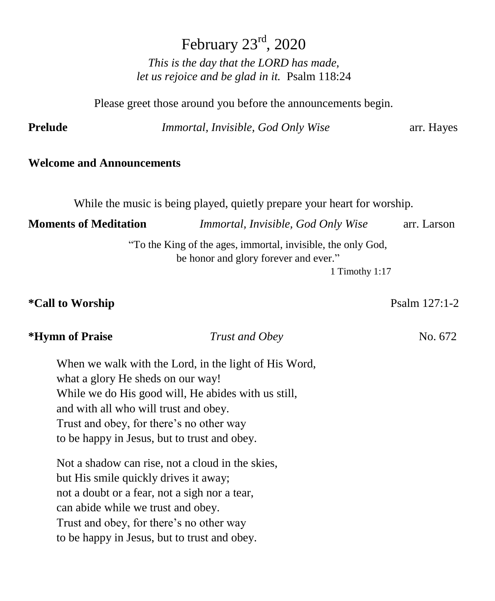February  $23<sup>rd</sup>$ , 2020 *This is the day that the LORD has made, let us rejoice and be glad in it.* Psalm 118:24

Please greet those around you before the announcements begin.

**Prelude** *Immortal, Invisible, God Only Wise* arr. Hayes

### **Welcome and Announcements**

While the music is being played, quietly prepare your heart for worship.

**Moments of Meditation** *Immortal, Invisible, God Only Wise* arr. Larson

"To the King of the ages, immortal, invisible, the only God, be honor and glory forever and ever."

1 Timothy 1:17

**\*Call to Worship** Psalm 127:1-2

# **\*Hymn of Praise** *Trust and Obey* **No. 672**

When we walk with the Lord, in the light of His Word, what a glory He sheds on our way! While we do His good will, He abides with us still, and with all who will trust and obey. Trust and obey, for there's no other way to be happy in Jesus, but to trust and obey.

Not a shadow can rise, not a cloud in the skies, but His smile quickly drives it away; not a doubt or a fear, not a sigh nor a tear, can abide while we trust and obey. Trust and obey, for there's no other way to be happy in Jesus, but to trust and obey.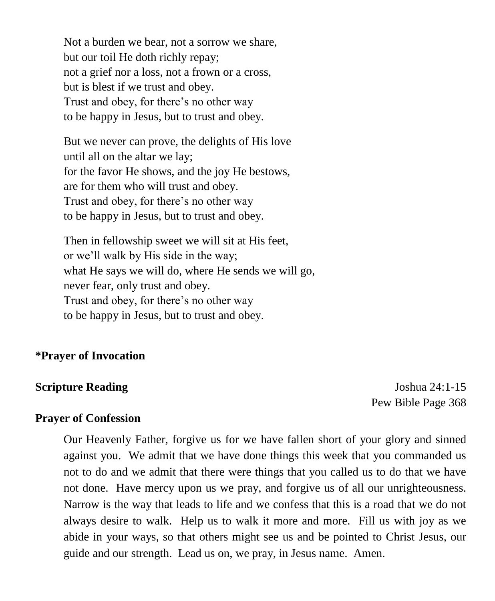Not a burden we bear, not a sorrow we share, but our toil He doth richly repay; not a grief nor a loss, not a frown or a cross, but is blest if we trust and obey. Trust and obey, for there's no other way to be happy in Jesus, but to trust and obey.

But we never can prove, the delights of His love until all on the altar we lay; for the favor He shows, and the joy He bestows, are for them who will trust and obey. Trust and obey, for there's no other way to be happy in Jesus, but to trust and obey.

Then in fellowship sweet we will sit at His feet, or we'll walk by His side in the way; what He says we will do, where He sends we will go, never fear, only trust and obey. Trust and obey, for there's no other way to be happy in Jesus, but to trust and obey.

### **\*Prayer of Invocation**

### **Scripture Reading** *Joshua 24:1-15*

Pew Bible Page 368

### **Prayer of Confession**

Our Heavenly Father, forgive us for we have fallen short of your glory and sinned against you. We admit that we have done things this week that you commanded us not to do and we admit that there were things that you called us to do that we have not done. Have mercy upon us we pray, and forgive us of all our unrighteousness. Narrow is the way that leads to life and we confess that this is a road that we do not always desire to walk. Help us to walk it more and more. Fill us with joy as we abide in your ways, so that others might see us and be pointed to Christ Jesus, our guide and our strength. Lead us on, we pray, in Jesus name. Amen.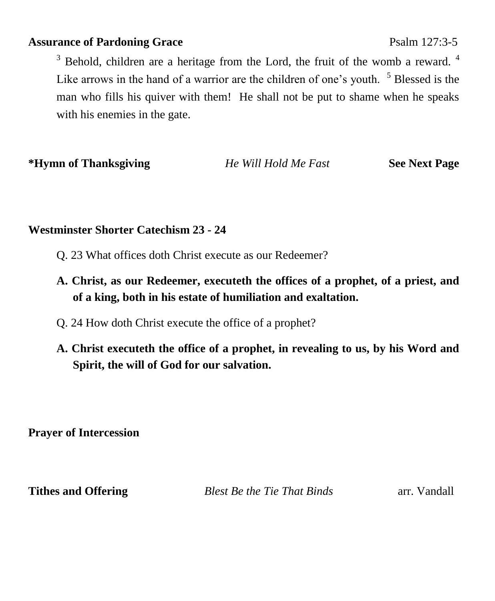### **Assurance of Pardoning Grace** Psalm 127:3-5

 $3$  Behold, children are a heritage from the Lord, the fruit of the womb a reward.  $4$ Like arrows in the hand of a warrior are the children of one's youth.  $5$  Blessed is the man who fills his quiver with them! He shall not be put to shame when he speaks with his enemies in the gate.

**\*Hymn of Thanksgiving** *He Will Hold Me Fast* **See Next Page**

## **Westminster Shorter Catechism 23 - 24**

- Q. 23 What offices doth Christ execute as our Redeemer?
- **A. Christ, as our Redeemer, executeth the offices of a prophet, of a priest, and of a king, both in his estate of humiliation and exaltation.**
- Q. 24 How doth Christ execute the office of a prophet?
- **A. Christ executeth the office of a prophet, in revealing to us, by his Word and Spirit, the will of God for our salvation.**

**Prayer of Intercession**

**Tithes and Offering** *Blest Be the Tie That Binds* arr. Vandall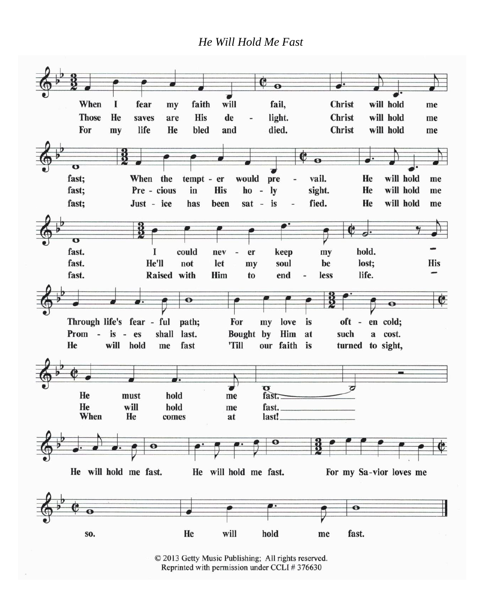### *He Will Hold Me Fast*



© 2013 Getty Music Publishing; All rights reserved. Reprinted with permission under CCLI #376630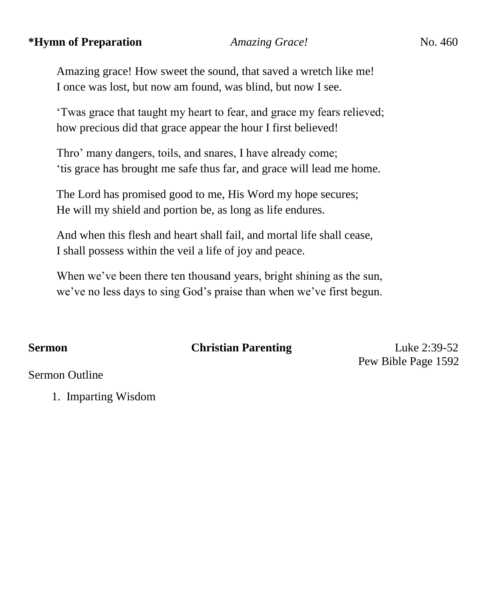### **\*Hymn of Preparation** *Amazing Grace!* No. 460

Amazing grace! How sweet the sound, that saved a wretch like me! I once was lost, but now am found, was blind, but now I see.

'Twas grace that taught my heart to fear, and grace my fears relieved; how precious did that grace appear the hour I first believed!

Thro' many dangers, toils, and snares, I have already come; 'tis grace has brought me safe thus far, and grace will lead me home.

The Lord has promised good to me, His Word my hope secures; He will my shield and portion be, as long as life endures.

And when this flesh and heart shall fail, and mortal life shall cease, I shall possess within the veil a life of joy and peace.

When we've been there ten thousand years, bright shining as the sun, we've no less days to sing God's praise than when we've first begun.

**Sermon** Christian Parenting Luke 2:39-52 Pew Bible Page 1592

Sermon Outline

1. Imparting Wisdom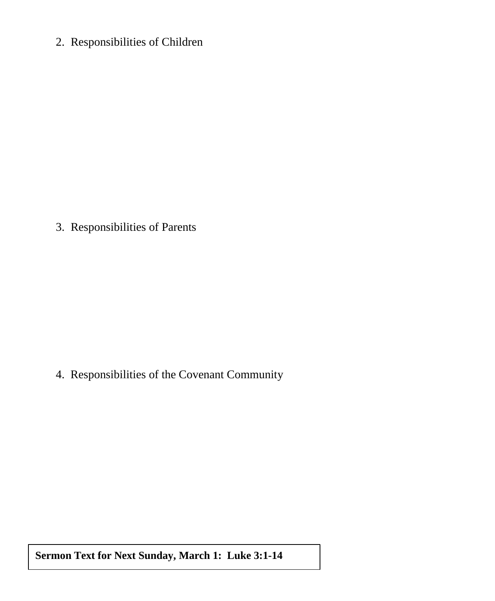2. Responsibilities of Children

3. Responsibilities of Parents

4. Responsibilities of the Covenant Community

**Sermon Text for Next Sunday, March 1: Luke 3:1-14**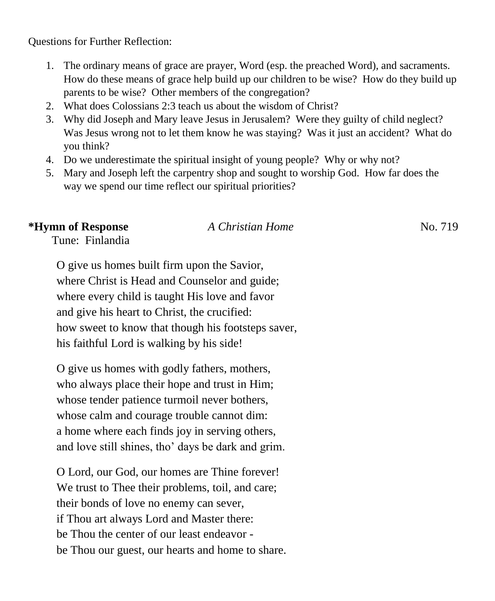Questions for Further Reflection:

- 1. The ordinary means of grace are prayer, Word (esp. the preached Word), and sacraments. How do these means of grace help build up our children to be wise? How do they build up parents to be wise? Other members of the congregation?
- 2. What does Colossians 2:3 teach us about the wisdom of Christ?
- 3. Why did Joseph and Mary leave Jesus in Jerusalem? Were they guilty of child neglect? Was Jesus wrong not to let them know he was staying? Was it just an accident? What do you think?
- 4. Do we underestimate the spiritual insight of young people? Why or why not?
- 5. Mary and Joseph left the carpentry shop and sought to worship God. How far does the way we spend our time reflect our spiritual priorities?

# **\*Hymn of Response** *A Christian Home* No. 719

Tune: Finlandia

O give us homes built firm upon the Savior, where Christ is Head and Counselor and guide; where every child is taught His love and favor and give his heart to Christ, the crucified: how sweet to know that though his footsteps saver, his faithful Lord is walking by his side!

O give us homes with godly fathers, mothers, who always place their hope and trust in Him; whose tender patience turmoil never bothers, whose calm and courage trouble cannot dim: a home where each finds joy in serving others, and love still shines, tho' days be dark and grim.

O Lord, our God, our homes are Thine forever! We trust to Thee their problems, toil, and care; their bonds of love no enemy can sever, if Thou art always Lord and Master there: be Thou the center of our least endeavor be Thou our guest, our hearts and home to share.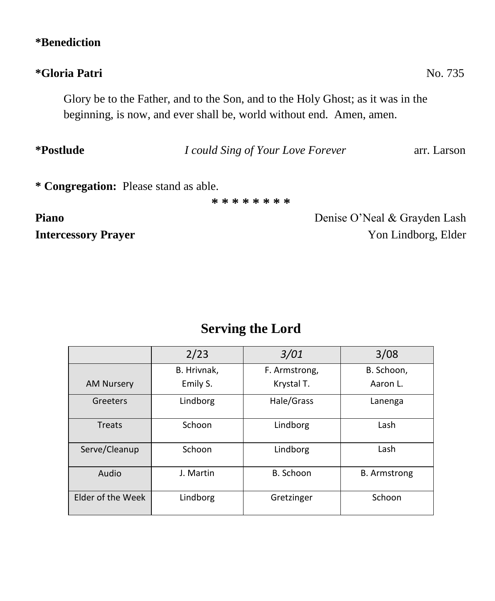## **\*Benediction**

# **\*Gloria Patri** No. 735

Glory be to the Father, and to the Son, and to the Holy Ghost; as it was in the beginning, is now, and ever shall be, world without end. Amen, amen.

# **\*Postlude** *I could Sing of Your Love Forever* arr. Larson

**\* \* \* \* \* \* \* \***

**Piano Denise O'Neal & Grayden Lash Intercessory Prayer** Yon Lindborg, Elder

# **Serving the Lord**

|                   | 2/23        | 3/01          | 3/08                |
|-------------------|-------------|---------------|---------------------|
|                   | B. Hrivnak. | F. Armstrong, | B. Schoon,          |
| <b>AM Nursery</b> | Emily S.    | Krystal T.    | Aaron L.            |
| Greeters          | Lindborg    | Hale/Grass    | Lanenga             |
| Treats            | Schoon      | Lindborg      | Lash                |
| Serve/Cleanup     | Schoon      | Lindborg      | Lash                |
| Audio             | J. Martin   | B. Schoon     | <b>B.</b> Armstrong |
| Elder of the Week | Lindborg    | Gretzinger    | Schoon              |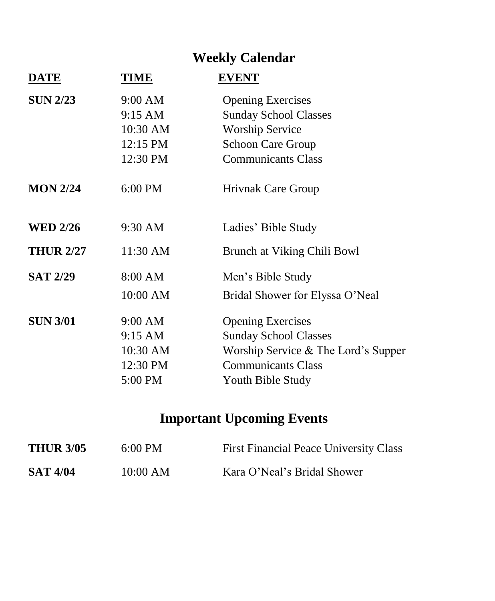# **Weekly Calendar**

| <b>DATE</b>      | <b>TIME</b> | <b>EVENT</b>                        |
|------------------|-------------|-------------------------------------|
| <b>SUN 2/23</b>  | 9:00 AM     | <b>Opening Exercises</b>            |
|                  | 9:15 AM     | <b>Sunday School Classes</b>        |
|                  | 10:30 AM    | <b>Worship Service</b>              |
|                  | 12:15 PM    | <b>Schoon Care Group</b>            |
|                  | 12:30 PM    | <b>Communicants Class</b>           |
| <b>MON 2/24</b>  | $6:00$ PM   | Hrivnak Care Group                  |
| <b>WED 2/26</b>  | 9:30 AM     | Ladies' Bible Study                 |
| <b>THUR 2/27</b> | 11:30 AM    | Brunch at Viking Chili Bowl         |
| <b>SAT 2/29</b>  | 8:00 AM     | Men's Bible Study                   |
|                  | 10:00 AM    | Bridal Shower for Elyssa O'Neal     |
| <b>SUN 3/01</b>  | 9:00 AM     | <b>Opening Exercises</b>            |
|                  | 9:15 AM     | <b>Sunday School Classes</b>        |
|                  | 10:30 AM    | Worship Service & The Lord's Supper |
|                  | 12:30 PM    | <b>Communicants Class</b>           |
|                  | 5:00 PM     | Youth Bible Study                   |
|                  |             |                                     |

# **Important Upcoming Events**

| <b>THUR 3/05</b> | $6:00 \text{ PM}$ | <b>First Financial Peace University Class</b> |
|------------------|-------------------|-----------------------------------------------|
| <b>SAT 4/04</b>  | 10:00 AM          | Kara O'Neal's Bridal Shower                   |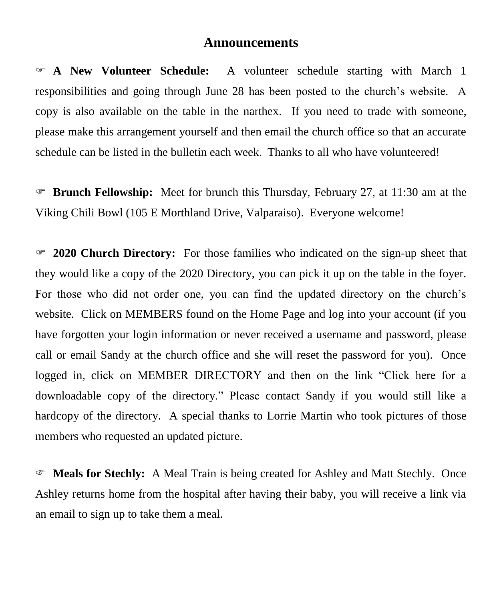### **Announcements**

 **A New Volunteer Schedule:** A volunteer schedule starting with March 1 responsibilities and going through June 28 has been posted to the church's website. A copy is also available on the table in the narthex. If you need to trade with someone, please make this arrangement yourself and then email the church office so that an accurate schedule can be listed in the bulletin each week. Thanks to all who have volunteered!

 **Brunch Fellowship:** Meet for brunch this Thursday, February 27, at 11:30 am at the Viking Chili Bowl (105 E Morthland Drive, Valparaiso). Everyone welcome!

 **2020 Church Directory:** For those families who indicated on the sign-up sheet that they would like a copy of the 2020 Directory, you can pick it up on the table in the foyer. For those who did not order one, you can find the updated directory on the church's website. Click on MEMBERS found on the Home Page and log into your account (if you have forgotten your login information or never received a username and password, please call or email Sandy at the church office and she will reset the password for you). Once logged in, click on MEMBER DIRECTORY and then on the link "Click here for a downloadable copy of the directory." Please contact Sandy if you would still like a hardcopy of the directory. A special thanks to Lorrie Martin who took pictures of those members who requested an updated picture.

 **Meals for Stechly:** A Meal Train is being created for Ashley and Matt Stechly. Once Ashley returns home from the hospital after having their baby, you will receive a link via an email to sign up to take them a meal.